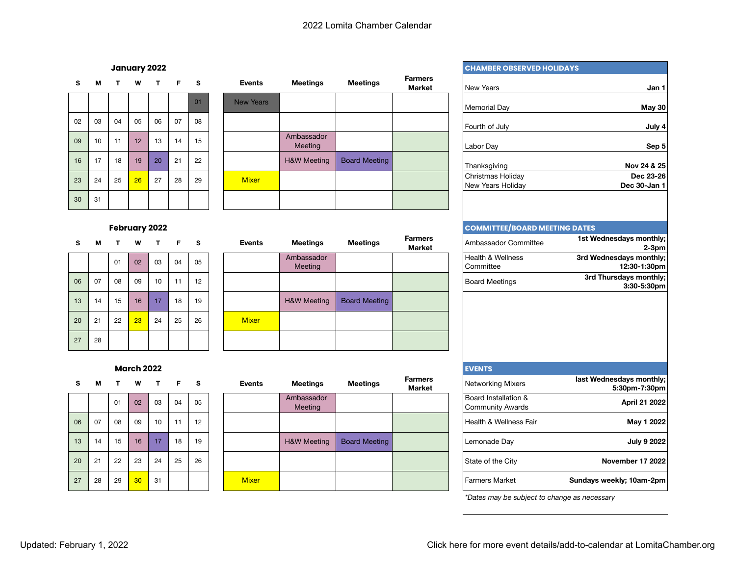|    |    |    |    |    |    |    | ------           |                        |
|----|----|----|----|----|----|----|------------------|------------------------|
|    |    |    |    |    |    | 01 | <b>New Years</b> |                        |
| 02 | 03 | 04 | 05 | 06 | 07 | 08 |                  |                        |
| 09 | 10 | 11 | 12 | 13 | 14 | 15 |                  | Ambassador<br>Meeting  |
| 16 | 17 | 18 | 19 | 20 | 21 | 22 |                  | <b>H&amp;W Meeting</b> |
| 23 | 24 | 25 | 26 | 27 | 28 | 29 | <b>Mixer</b>     |                        |
| 30 | 31 |    |    |    |    |    |                  |                        |

# **<sup>S</sup> <sup>M</sup> <sup>T</sup> <sup>W</sup> <sup>T</sup> <sup>F</sup> <sup>S</sup> Events Meetings Meetings Farmers**  New Years H&W Meeting | Board Meeting 23 24 25 <mark>26 27 28 29 Mixer Christmas Holiday (Christmas Holiday</mark>

#### **February 2022**

| s  | м  |    | w  |    | r  | s               | Events       | <b>Meetings</b>        |
|----|----|----|----|----|----|-----------------|--------------|------------------------|
|    |    | 01 | 02 | 03 | 04 | 05              |              | Ambassador<br>Meeting  |
| 06 | 07 | 08 | 09 | 10 | 11 | 12 <sup>2</sup> |              |                        |
| 13 | 14 | 15 | 16 | 17 | 18 | 19              |              | <b>H&amp;W Meeting</b> |
| 20 | 21 | 22 | 23 | 24 | 25 | 26              | <b>Mixer</b> |                        |
| 27 | 28 |    |    |    |    |                 |              |                        |

| s.<br>м  | $\mathbf{T}$ |    |    | W T F S |    |    | Events       | <b>Meetings</b>        | <b>Meetings</b> | Farmers<br>Market | Ambassador Committee           | 1st Wednesdays monthly;<br>$2-3pm$      |
|----------|--------------|----|----|---------|----|----|--------------|------------------------|-----------------|-------------------|--------------------------------|-----------------------------------------|
|          | 01           | 02 | 03 |         | 04 | 05 |              | Ambassador<br>Meeting  |                 |                   | Health & Wellness<br>Committee | 3rd Wednesdays monthly;<br>12:30-1:30pm |
| 06<br>07 | 08           | 09 | 10 |         | 11 | 12 |              |                        |                 |                   | <b>Board Meetings</b>          | 3rd Thursdays monthly;<br>3:30-5:30pm   |
| 13<br>14 | 15           | 16 | 17 |         | 18 | 19 |              | <b>H&amp;W Meeting</b> | Board Meeting   |                   |                                |                                         |
| 20<br>21 | 22           | 23 | 24 |         | 25 | 26 | <b>Mixer</b> |                        |                 |                   |                                |                                         |
| 27<br>28 |              |    |    |         |    |    |              |                        |                 |                   |                                |                                         |

## **March 2022 Express 2022**

| S  | м  |    | w  |    | r  | 5  |
|----|----|----|----|----|----|----|
|    |    | 01 | 02 | 03 | 04 | 05 |
| 06 | 07 | 08 | 09 | 10 | 11 | 12 |
| 13 | 14 | 15 | 16 | 17 | 18 | 19 |
| 20 | 21 | 22 | 23 | 24 | 25 | 26 |
| 27 | 28 | 29 | 30 | 31 |    |    |

| s. | м  | $\mathbf{T}$ | W  | $\mathbf{T}$ | F S |    | <b>Events</b> | Meetings               | <b>Meetings</b>      | <b>Farmers</b><br>Market | Networking Mixers                        | last Wednesdays monthly;<br>5:30pm-7:30pm |
|----|----|--------------|----|--------------|-----|----|---------------|------------------------|----------------------|--------------------------|------------------------------------------|-------------------------------------------|
|    |    | 01           | 02 | 03           | 04  | 05 |               | Ambassador<br>Meeting  |                      |                          | Board Installation &<br>Community Awards | April 21 2022                             |
| 06 | 07 | 08           | 09 | 10           | 11  | 12 |               |                        |                      |                          | Health & Wellness Fair                   | May 1 2022                                |
| 13 | 14 | 15           | 16 | 17           | 18  | 19 |               | <b>H&amp;W Meeting</b> | <b>Board Meeting</b> |                          | Lemonade Day                             | July 9 2022                               |
| 20 | 21 | 22           | 23 | 24           | 25  | 26 |               |                        |                      |                          | State of the City                        | <b>November 17 2022</b>                   |
| 27 | 28 | 29           | 30 | 31           |     |    | <b>Mixer</b>  |                        |                      |                          | <b>Farmers Market</b>                    | Sundays weekly; 10am-2pm                  |

#### **January 2022 CHAMBER OBSERVED HOLIDAYS**

| <b>Aeetings</b>     | <b>Meetings</b>      | <b>Farmers</b><br><b>Market</b> | <b>New Years</b>                                | Jan 1                                     |
|---------------------|----------------------|---------------------------------|-------------------------------------------------|-------------------------------------------|
|                     |                      |                                 | Memorial Day                                    | May 30                                    |
| hassador            |                      |                                 | Fourth of July                                  | July 4                                    |
| Meeting             |                      |                                 | Labor Day                                       | Sep 5                                     |
| W Meeting           | <b>Board Meeting</b> |                                 | Thanksgiving                                    | Nov 24 & 25                               |
|                     |                      |                                 | Christmas Holiday<br>New Years Holiday          | Dec 23-26<br>Dec 30-Jan 1                 |
|                     |                      |                                 |                                                 |                                           |
|                     |                      |                                 | <b>COMMITTEE/BOARD MEETING DATES</b>            |                                           |
| <b>Aeetings</b>     | <b>Meetings</b>      | <b>Farmers</b><br><b>Market</b> | Ambassador Committee                            | 1st Wednesdays monthly;<br>$2-3pm$        |
| hassador<br>Meeting |                      |                                 | Health & Wellness<br>Committee                  | 3rd Wednesdays monthly;<br>12:30-1:30pm   |
|                     |                      |                                 | <b>Board Meetings</b>                           | 3rd Thursdays monthly;<br>3:30-5:30pm     |
| W Meeting           | <b>Board Meeting</b> |                                 |                                                 |                                           |
|                     |                      |                                 |                                                 |                                           |
|                     |                      |                                 |                                                 |                                           |
|                     |                      |                                 | <b>EVENTS</b>                                   |                                           |
| <b>Aeetings</b>     | <b>Meetings</b>      | <b>Farmers</b><br><b>Market</b> | Networking Mixers                               | last Wednesdays monthly;<br>5:30pm-7:30pm |
| hassador<br>Meeting |                      |                                 | Board Installation &<br><b>Community Awards</b> | <b>April 21 2022</b>                      |
|                     |                      |                                 | Health & Wellness Fair                          | May 1 2022                                |
| W Meeting           | <b>Board Meeting</b> |                                 | Lemonade Day                                    | <b>July 9 2022</b>                        |
|                     |                      |                                 | State of the City                               | November 17 2022                          |
|                     |                      |                                 | <b>Farmers Market</b>                           | Sundays weekly; 10am-2pm                  |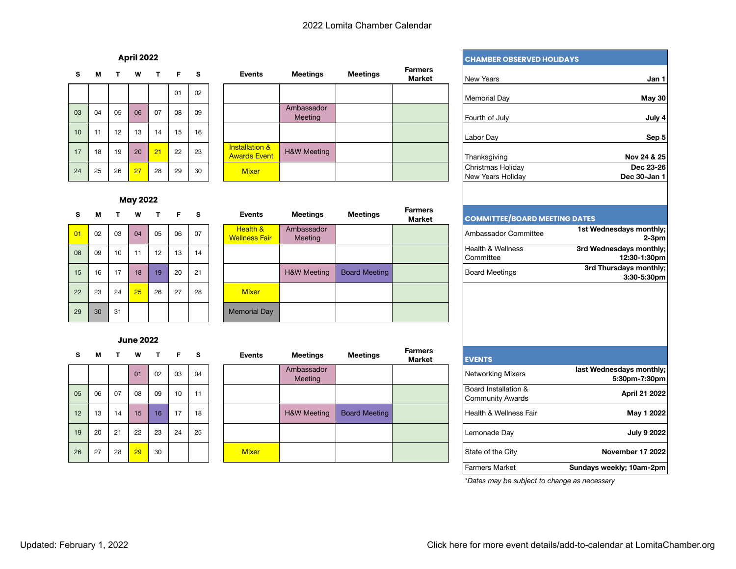| s  | м  | т  | w  | т  | F. | s  | <b>Events</b>                                    | <b>Meetings</b>        |
|----|----|----|----|----|----|----|--------------------------------------------------|------------------------|
|    |    |    |    |    | 01 | 02 |                                                  |                        |
| 03 | 04 | 05 | 06 | 07 | 08 | 09 |                                                  | Ambassador<br>Meeting  |
| 10 | 11 | 12 | 13 | 14 | 15 | 16 |                                                  |                        |
| 17 | 18 | 19 | 20 | 21 | 22 | 23 | <b>Installation &amp;</b><br><b>Awards Event</b> | <b>H&amp;W Meeting</b> |
| 24 | 25 | 26 | 27 | 28 | 29 | 30 | <b>Mixer</b>                                     |                        |

| s  | м  |    | W  | $\mathbf{T}$ | F  | <b>s</b> | <b>Events</b>                                    | <b>Meetings</b>        | <b>Meetings</b> | <b>Farmers</b><br>Market | l New Years                            |
|----|----|----|----|--------------|----|----------|--------------------------------------------------|------------------------|-----------------|--------------------------|----------------------------------------|
|    |    |    |    |              | 01 | 02       |                                                  |                        |                 |                          | <b>Memorial Day</b>                    |
| 03 | 04 | 05 | 06 | 07           | 08 | 09       |                                                  | Ambassador<br>Meeting  |                 |                          | Fourth of July                         |
| 10 | 11 | 12 | 13 | 14           | 15 | 16       |                                                  |                        |                 |                          | Labor Day                              |
| 17 | 18 | 19 | 20 | 21           | 22 | 23       | <b>Installation &amp;</b><br><b>Awards Event</b> | <b>H&amp;W Meeting</b> |                 |                          | Thanksgiving                           |
| 24 | 25 | 26 | 27 | 28           | 29 | 30       | <b>Mixer</b>                                     |                        |                 |                          | Christmas Holiday<br>New Years Holiday |

### **May 2022**

| 01 | 02 | 03 | 04 | 05 | 06 | 07 | <b>Health &amp;</b><br><b>Wellness Fair</b> |
|----|----|----|----|----|----|----|---------------------------------------------|
| 08 | 09 | 10 | 11 | 12 | 13 | 14 |                                             |
| 15 | 16 | 17 | 18 | 19 | 20 | 21 |                                             |
| 22 | 23 | 24 | 25 | 26 | 27 | 28 | <b>Mixer</b>                                |
| 29 | 30 | 31 |    |    |    |    | <b>Memorial Day</b>                         |

#### **June 2022**

| . . | w  |    |    |    |    | ັ  |
|-----|----|----|----|----|----|----|
|     |    |    | 01 | 02 | 03 | 04 |
| 05  | 06 | 07 | 08 | 09 | 10 | 11 |
| 12  | 13 | 14 | 15 | 16 | 17 | 18 |
| 19  | 20 | 21 | 22 | 23 | 24 | 25 |
| 26  | 27 | 28 | 29 | 30 |    |    |

| s.       | м  | т. | w  | $\mathbf{T}$ | F. | s  | <b>Events</b>                    | <b>Meetings</b>        | <b>Meetings</b> | Farmers<br><b>Market</b> | <b>COMMITTEE/BOARD MEETING DATES</b> |                                         |
|----------|----|----|----|--------------|----|----|----------------------------------|------------------------|-----------------|--------------------------|--------------------------------------|-----------------------------------------|
| 01       | 02 | 03 | 04 | 05           | 06 | 07 | Health &<br><b>Wellness Fair</b> | Ambassador<br>Meeting  |                 |                          | Ambassador Committee                 | 1st Wednesdays monthly;<br>$2-3$ pm     |
| 80       | 09 | 10 |    | 12           | 13 | 14 |                                  |                        |                 |                          | Health & Wellness<br>Committee       | 3rd Wednesdays monthly;<br>12:30-1:30pm |
| 15       | 16 | 17 | 18 | 19           | 20 | 21 |                                  | <b>H&amp;W Meeting</b> | Board Meeting   |                          | <b>Board Meetings</b>                | 3rd Thursdays monthly;<br>3:30-5:30pm   |
| $22^{2}$ | 23 | 24 | 25 | 26           | 27 | 28 | <b>Mixer</b>                     |                        |                 |                          |                                      |                                         |
| 29       | 30 | 31 |    |              |    |    | Memorial Day                     |                        |                 |                          |                                      |                                         |

| s.              | м  | T. | W  |    | T F S |    | <b>Events</b> | Meetings               | <b>Meetings</b>      | <b>Farmers</b><br>Market | <b>EVENTS</b>                                   |                                           |
|-----------------|----|----|----|----|-------|----|---------------|------------------------|----------------------|--------------------------|-------------------------------------------------|-------------------------------------------|
|                 |    |    | 01 | 02 | 03    | 04 |               | Ambassador<br>Meeting  |                      |                          | Networking Mixers                               | last Wednesdays monthly;<br>5:30pm-7:30pm |
| 05              | 06 | 07 | 08 | 09 | 10    | 11 |               |                        |                      |                          | Board Installation &<br><b>Community Awards</b> | April 21 2022                             |
| 12 <sup>2</sup> | 13 | 14 | 15 | 16 | 17    | 18 |               | <b>H&amp;W Meeting</b> | <b>Board Meeting</b> |                          | Health & Wellness Fair                          | May 1 2022                                |
| 19              | 20 | 21 | 22 | 23 | 24    | 25 |               |                        |                      |                          | Lemonade Day                                    | <b>July 9 2022</b>                        |
| 26              | 27 | 28 | 29 | 30 |       |    | <b>Mixer</b>  |                        |                      |                          | State of the City                               | <b>November 17 2022</b>                   |

## **April 2022 CHAMBER OBSERVED HOLIDAYS**

| Jan 1                     | <b>New Years</b>                       | <b>Farmers</b><br><b>Market</b> | <b>Meetings</b> | <b>Aeetings</b>            |
|---------------------------|----------------------------------------|---------------------------------|-----------------|----------------------------|
| May 30                    | <b>Memorial Day</b>                    |                                 |                 |                            |
| July 4                    | Fourth of July                         |                                 |                 | hassador<br><b>Meeting</b> |
| Sep 5                     | Labor Day                              |                                 |                 |                            |
| Nov 24 & 25               | Thanksgiving                           |                                 |                 | W Meeting                  |
| Dec 23-26<br>Dec 30-Jan 1 | Christmas Holiday<br>New Years Holiday |                                 |                 |                            |
|                           |                                        |                                 |                 |                            |

| <b>Meetings</b>            | <b>Meetings</b>      | ганнегэ<br><b>Market</b> | <b>COMMITTEE/BOARD MEETING DATES</b>      |                                          |
|----------------------------|----------------------|--------------------------|-------------------------------------------|------------------------------------------|
| hassador<br><b>Meeting</b> |                      |                          | Ambassador Committee                      | 1st Wednesdays monthly;<br>$2-3pm$       |
|                            |                      |                          | <b>Health &amp; Wellness</b><br>Committee | 3rd Wednesdays monthly;<br>12:30-1:30pm  |
| W Meeting                  | <b>Board Meeting</b> |                          | <b>Board Meetings</b>                     | 3rd Thursdays monthly;<br>$3:30-5:30$ pm |

|                                           | <b>EVENTS</b>                                   | <b>Farmers</b><br>Market | <b>Meetings</b>      | <b>Aeetings</b>            |
|-------------------------------------------|-------------------------------------------------|--------------------------|----------------------|----------------------------|
| last Wednesdays monthly;<br>5:30pm-7:30pm | Networking Mixers                               |                          |                      | hassador<br><b>Meeting</b> |
| <b>April 21 2022</b>                      | Board Installation &<br><b>Community Awards</b> |                          |                      |                            |
| May 1 2022                                | Health & Wellness Fair                          |                          | <b>Board Meeting</b> | W Meeting                  |
| <b>July 9 2022</b>                        | Lemonade Day                                    |                          |                      |                            |
| November 17 2022                          | State of the City                               |                          |                      |                            |
| Sundays weekly; 10am-2pm                  | <b>Farmers Market</b>                           |                          |                      |                            |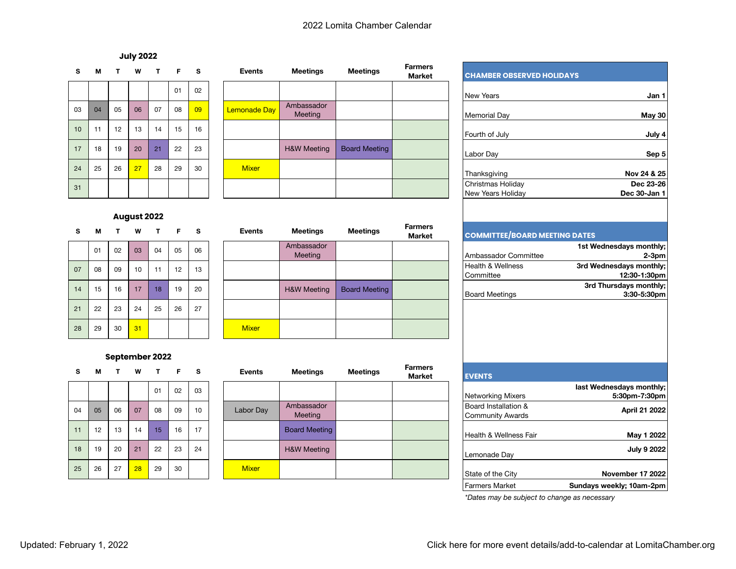#### **July 2022**

| ◡  | IVI. | . . | VV | . . | г. | Ð  | суенто              | meemigs                |
|----|------|-----|----|-----|----|----|---------------------|------------------------|
|    |      |     |    |     | 01 | 02 |                     |                        |
| 03 | 04   | 05  | 06 | 07  | 08 | 09 | <b>Lemonade Day</b> | Ambassador<br>Meeting  |
| 10 | 11   | 12  | 13 | 14  | 15 | 16 |                     |                        |
| 17 | 18   | 19  | 20 | 21  | 22 | 23 |                     | <b>H&amp;W Meeting</b> |
| 24 | 25   | 26  | 27 | 28  | 29 | 30 | <b>Mixer</b>        |                        |
| 31 |      |     |    |     |    |    |                     |                        |

#### **August 2022**

| s  | M  |    | w  |    | r  | s  | <b>Events</b> |
|----|----|----|----|----|----|----|---------------|
|    | 01 | 02 | 03 | 04 | 05 | 06 |               |
| 07 | 08 | 09 | 10 | 11 | 12 | 13 |               |
| 14 | 15 | 16 | 17 | 18 | 19 | 20 |               |
| 21 | 22 | 23 | 24 | 25 | 26 | 27 |               |
| 28 | 29 | 30 | 31 |    |    |    | <b>Mixer</b>  |

#### **September 2022**

| s  | м  |    | w  | т  | Е  | s  | Events       | Meetings               |
|----|----|----|----|----|----|----|--------------|------------------------|
|    |    |    |    | 01 | 02 | 03 |              |                        |
| 04 | 05 | 06 | 07 | 08 | 09 | 10 | Labor Day    | Ambassador<br>Meeting  |
| 11 | 12 | 13 | 14 | 15 | 16 | 17 |              | <b>Board Meeting</b>   |
| 18 | 19 | 20 | 21 | 22 | 23 | 24 |              | <b>H&amp;W Meeting</b> |
| 25 | 26 | 27 | 28 | 29 | 30 |    | <b>Mixer</b> |                        |

| s  | м  | T. | W  | $\mathbf{T}$ | F. | <b>s</b> | <b>Events</b> | <b>Meetings</b>        | <b>Meetings</b>      | <b>Farmers</b><br><b>Market</b> | <b>CHAMBER OBSER</b>                   |
|----|----|----|----|--------------|----|----------|---------------|------------------------|----------------------|---------------------------------|----------------------------------------|
|    |    |    |    |              | 01 | 02       |               |                        |                      |                                 | <b>New Years</b>                       |
| 03 | 04 | 05 | 06 | 07           | 08 | 09       | Lemonade Day  | Ambassador<br>Meeting  |                      |                                 | <b>Memorial Day</b>                    |
| 10 | 11 | 12 | 13 | 14           | 15 | 16       |               |                        |                      |                                 | Fourth of July                         |
| 17 | 18 | 19 | 20 | 21           | 22 | 23       |               | <b>H&amp;W Meeting</b> | <b>Board Meeting</b> |                                 | Labor Day                              |
| 24 | 25 | 26 | 27 | 28           | 29 | 30       | <b>Mixer</b>  |                        |                      |                                 | Thanksgiving                           |
| 31 |    |    |    |              |    |          |               |                        |                      |                                 | Christmas Holiday<br>New Years Holiday |

# **<sup>S</sup> <sup>M</sup> <sup>T</sup> <sup>W</sup> <sup>T</sup> <sup>F</sup> <sup>S</sup> Events Meetings Meetings Farmers Market** Ambassador<br>Meeting Meeting | Ambassador Committee <sup>07</sup> <sup>08</sup> <sup>09</sup> <sup>10</sup> <sup>11</sup> <sup>12</sup> <sup>13</sup> Health & Wellness 14 15 16 17 18 19 20 **H&W Meeting Board Meeting** Board Meeting Board Meetings Board Meetings

| <b>EVENTS</b>                            | <b>Farmers</b><br>Market | <b>Meetings</b> | <b>Meetings</b>        | <b>Events</b> |    | T F S |    | W  | $\mathbf{T}$ | м  | s. |
|------------------------------------------|--------------------------|-----------------|------------------------|---------------|----|-------|----|----|--------------|----|----|
| Networking Mixers                        |                          |                 |                        |               | 03 | 02    | 01 |    |              |    |    |
| Board Installation &<br>Community Awards |                          |                 | Ambassador<br>Meeting  | Labor Day     | 10 | 09    | 08 | 07 | 06           | 05 | 04 |
| Health & Wellness Fair                   |                          |                 | <b>Board Meeting</b>   |               | 17 | 16    | 15 | 14 | 13           | 12 | 11 |
| Lemonade Day                             |                          |                 | <b>H&amp;W Meeting</b> |               | 24 | 23    | 22 | 21 | 20           | 19 | 18 |
| State of the City                        |                          |                 |                        | <b>Mixer</b>  |    | 30    | 29 | 28 | 27           | 26 | 25 |

| <b>Aeetings</b>     | <b>Meetings</b>      | <b>Farmers</b><br><b>Market</b> | <b>CHAMBER OBSERVED HOLIDAYS</b>                |                                           |
|---------------------|----------------------|---------------------------------|-------------------------------------------------|-------------------------------------------|
|                     |                      |                                 | New Years                                       | Jan 1                                     |
| hassador<br>Meeting |                      |                                 | Memorial Day                                    | May 30                                    |
|                     |                      |                                 | Fourth of July                                  | July 4                                    |
| W Meeting           | <b>Board Meeting</b> |                                 | Labor Day                                       | Sep 5                                     |
|                     |                      |                                 | Thanksgiving                                    | Nov 24 & 25                               |
|                     |                      |                                 | Christmas Holiday<br>New Years Holiday          | Dec 23-26<br>Dec 30-Jan 1                 |
|                     |                      | <b>Farmers</b>                  |                                                 |                                           |
| <b>Aeetings</b>     | <b>Meetings</b>      | <b>Market</b>                   | <b>COMMITTEE/BOARD MEETING DATES</b>            |                                           |
| hassador<br>Meeting |                      |                                 | Ambassador Committee                            | 1st Wednesdays monthly;<br>$2-3pm$        |
|                     |                      |                                 | <b>Health &amp; Wellness</b><br>Committee       | 3rd Wednesdays monthly;<br>12:30-1:30pm   |
| W Meeting           | <b>Board Meeting</b> |                                 | <b>Board Meetings</b>                           | 3rd Thursdays monthly;<br>3:30-5:30pm     |
|                     |                      |                                 |                                                 |                                           |
|                     |                      |                                 |                                                 |                                           |
| <b>Aeetings</b>     | <b>Meetings</b>      | <b>Farmers</b><br><b>Market</b> | <b>EVENTS</b>                                   |                                           |
|                     |                      |                                 | Networking Mixers                               | last Wednesdays monthly;<br>5:30pm-7:30pm |
| hassador<br>Meeting |                      |                                 | Board Installation &<br><b>Community Awards</b> | <b>April 21 2022</b>                      |
| ard Meeting         |                      |                                 | Health & Wellness Fair                          | May 1 2022                                |
| W Meeting           |                      |                                 | Lemonade Day                                    | <b>July 9 2022</b>                        |
|                     |                      |                                 | State of the City                               | November 17 2022                          |
|                     |                      |                                 | <b>Farmers Market</b>                           | Sundays weekly; 10am-2pm                  |